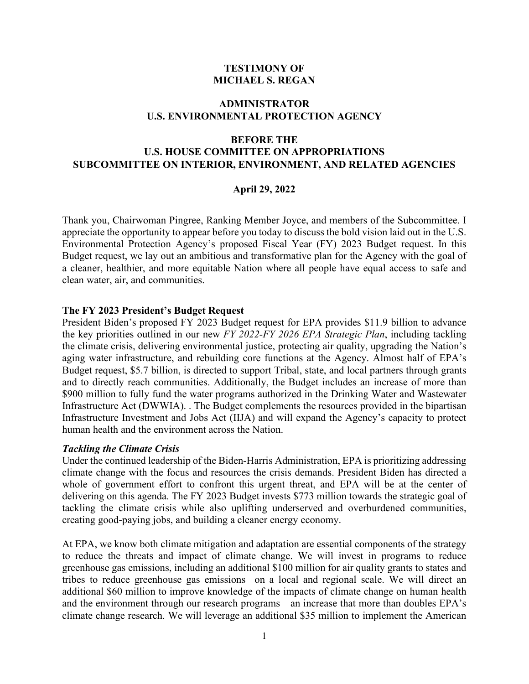#### **TESTIMONY OF MICHAEL S. REGAN**

# **ADMINISTRATOR U.S. ENVIRONMENTAL PROTECTION AGENCY**

# **BEFORE THE U.S. HOUSE COMMITTEE ON APPROPRIATIONS SUBCOMMITTEE ON INTERIOR, ENVIRONMENT, AND RELATED AGENCIES**

#### **April 29, 2022**

Thank you, Chairwoman Pingree, Ranking Member Joyce, and members of the Subcommittee. I appreciate the opportunity to appear before you today to discuss the bold vision laid out in the U.S. Environmental Protection Agency's proposed Fiscal Year (FY) 2023 Budget request. In this Budget request, we lay out an ambitious and transformative plan for the Agency with the goal of a cleaner, healthier, and more equitable Nation where all people have equal access to safe and clean water, air, and communities.

#### **The FY 2023 President's Budget Request**

President Biden's proposed FY 2023 Budget request for EPA provides \$11.9 billion to advance the key priorities outlined in our new *FY 2022-FY 2026 EPA Strategic Plan*, including tackling the climate crisis, delivering environmental justice, protecting air quality, upgrading the Nation's aging water infrastructure, and rebuilding core functions at the Agency. Almost half of EPA's Budget request, \$5.7 billion, is directed to support Tribal, state, and local partners through grants and to directly reach communities. Additionally, the Budget includes an increase of more than \$900 million to fully fund the water programs authorized in the Drinking Water and Wastewater Infrastructure Act (DWWIA). . The Budget complements the resources provided in the bipartisan Infrastructure Investment and Jobs Act (IIJA) and will expand the Agency's capacity to protect human health and the environment across the Nation.

#### *Tackling the Climate Crisis*

Under the continued leadership of the Biden-Harris Administration, EPA is prioritizing addressing climate change with the focus and resources the crisis demands. President Biden has directed a whole of government effort to confront this urgent threat, and EPA will be at the center of delivering on this agenda. The FY 2023 Budget invests \$773 million towards the strategic goal of tackling the climate crisis while also uplifting underserved and overburdened communities, creating good-paying jobs, and building a cleaner energy economy.

At EPA, we know both climate mitigation and adaptation are essential components of the strategy to reduce the threats and impact of climate change. We will invest in programs to reduce greenhouse gas emissions, including an additional \$100 million for air quality grants to states and tribes to reduce greenhouse gas emissions on a local and regional scale. We will direct an additional \$60 million to improve knowledge of the impacts of climate change on human health and the environment through our research programs—an increase that more than doubles EPA's climate change research. We will leverage an additional \$35 million to implement the American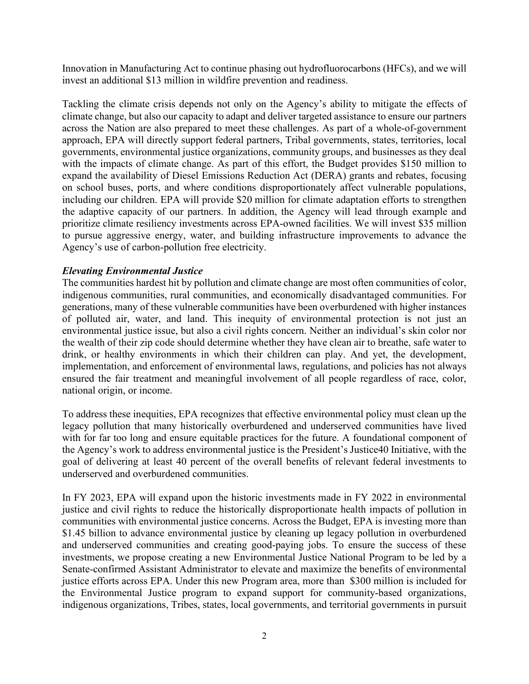Innovation in Manufacturing Act to continue phasing out hydrofluorocarbons (HFCs), and we will invest an additional \$13 million in wildfire prevention and readiness.

Tackling the climate crisis depends not only on the Agency's ability to mitigate the effects of climate change, but also our capacity to adapt and deliver targeted assistance to ensure our partners across the Nation are also prepared to meet these challenges. As part of a whole-of-government approach, EPA will directly support federal partners, Tribal governments, states, territories, local governments, environmental justice organizations, community groups, and businesses as they deal with the impacts of climate change. As part of this effort, the Budget provides \$150 million to expand the availability of Diesel Emissions Reduction Act (DERA) grants and rebates, focusing on school buses, ports, and where conditions disproportionately affect vulnerable populations, including our children. EPA will provide \$20 million for climate adaptation efforts to strengthen the adaptive capacity of our partners. In addition, the Agency will lead through example and prioritize climate resiliency investments across EPA-owned facilities. We will invest \$35 million to pursue aggressive energy, water, and building infrastructure improvements to advance the Agency's use of carbon-pollution free electricity.

# *Elevating Environmental Justice*

The communities hardest hit by pollution and climate change are most often communities of color, indigenous communities, rural communities, and economically disadvantaged communities. For generations, many of these vulnerable communities have been overburdened with higher instances of polluted air, water, and land. This inequity of environmental protection is not just an environmental justice issue, but also a civil rights concern. Neither an individual's skin color nor the wealth of their zip code should determine whether they have clean air to breathe, safe water to drink, or healthy environments in which their children can play. And yet, the development, implementation, and enforcement of environmental laws, regulations, and policies has not always ensured the fair treatment and meaningful involvement of all people regardless of race, color, national origin, or income.

To address these inequities, EPA recognizes that effective environmental policy must clean up the legacy pollution that many historically overburdened and underserved communities have lived with for far too long and ensure equitable practices for the future. A foundational component of the Agency's work to address environmental justice is the President's Justice40 Initiative, with the goal of delivering at least 40 percent of the overall benefits of relevant federal investments to underserved and overburdened communities.

In FY 2023, EPA will expand upon the historic investments made in FY 2022 in environmental justice and civil rights to reduce the historically disproportionate health impacts of pollution in communities with environmental justice concerns. Across the Budget, EPA is investing more than \$1.45 billion to advance environmental justice by cleaning up legacy pollution in overburdened and underserved communities and creating good-paying jobs. To ensure the success of these investments, we propose creating a new Environmental Justice National Program to be led by a Senate-confirmed Assistant Administrator to elevate and maximize the benefits of environmental justice efforts across EPA. Under this new Program area, more than \$300 million is included for the Environmental Justice program to expand support for community-based organizations, indigenous organizations, Tribes, states, local governments, and territorial governments in pursuit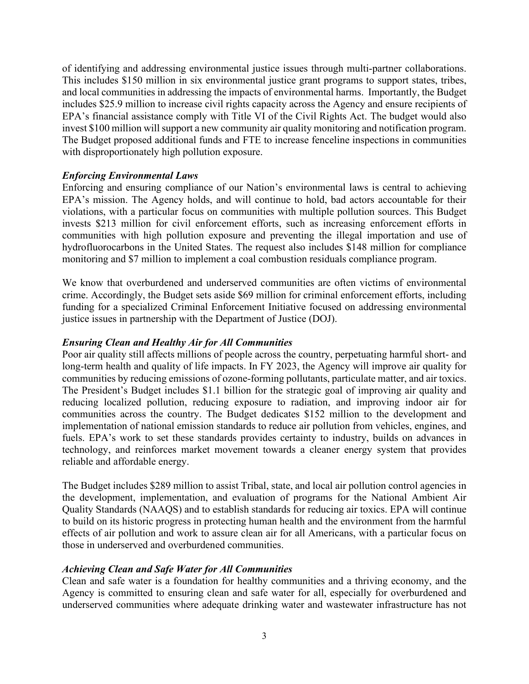of identifying and addressing environmental justice issues through multi-partner collaborations. This includes \$150 million in six environmental justice grant programs to support states, tribes, and local communities in addressing the impacts of environmental harms. Importantly, the Budget includes \$25.9 million to increase civil rights capacity across the Agency and ensure recipients of EPA's financial assistance comply with Title VI of the Civil Rights Act. The budget would also invest \$100 million will support a new community air quality monitoring and notification program. The Budget proposed additional funds and FTE to increase fenceline inspections in communities with disproportionately high pollution exposure.

# *Enforcing Environmental Laws*

Enforcing and ensuring compliance of our Nation's environmental laws is central to achieving EPA's mission. The Agency holds, and will continue to hold, bad actors accountable for their violations, with a particular focus on communities with multiple pollution sources. This Budget invests \$213 million for civil enforcement efforts, such as increasing enforcement efforts in communities with high pollution exposure and preventing the illegal importation and use of hydrofluorocarbons in the United States. The request also includes \$148 million for compliance monitoring and \$7 million to implement a coal combustion residuals compliance program.

We know that overburdened and underserved communities are often victims of environmental crime. Accordingly, the Budget sets aside \$69 million for criminal enforcement efforts, including funding for a specialized Criminal Enforcement Initiative focused on addressing environmental justice issues in partnership with the Department of Justice (DOJ).

#### *Ensuring Clean and Healthy Air for All Communities*

Poor air quality still affects millions of people across the country, perpetuating harmful short- and long-term health and quality of life impacts. In FY 2023, the Agency will improve air quality for communities by reducing emissions of ozone-forming pollutants, particulate matter, and air toxics. The President's Budget includes \$1.1 billion for the strategic goal of improving air quality and reducing localized pollution, reducing exposure to radiation, and improving indoor air for communities across the country. The Budget dedicates \$152 million to the development and implementation of national emission standards to reduce air pollution from vehicles, engines, and fuels. EPA's work to set these standards provides certainty to industry, builds on advances in technology, and reinforces market movement towards a cleaner energy system that provides reliable and affordable energy.

The Budget includes \$289 million to assist Tribal, state, and local air pollution control agencies in the development, implementation, and evaluation of programs for the National Ambient Air Quality Standards (NAAQS) and to establish standards for reducing air toxics. EPA will continue to build on its historic progress in protecting human health and the environment from the harmful effects of air pollution and work to assure clean air for all Americans, with a particular focus on those in underserved and overburdened communities.

# *Achieving Clean and Safe Water for All Communities*

Clean and safe water is a foundation for healthy communities and a thriving economy, and the Agency is committed to ensuring clean and safe water for all, especially for overburdened and underserved communities where adequate drinking water and wastewater infrastructure has not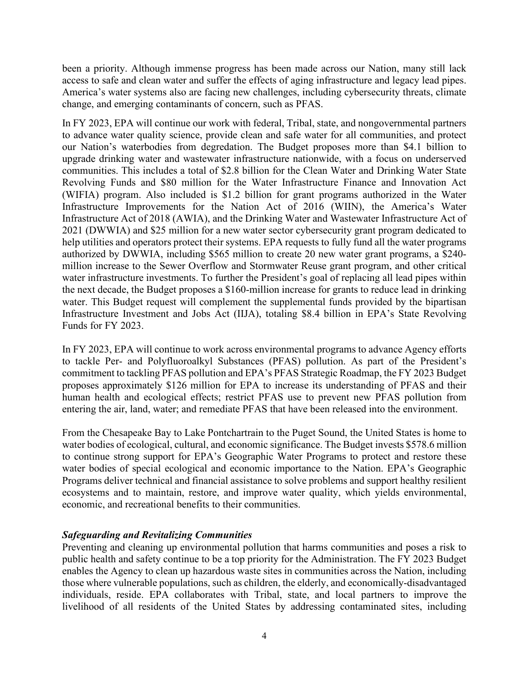been a priority. Although immense progress has been made across our Nation, many still lack access to safe and clean water and suffer the effects of aging infrastructure and legacy lead pipes. America's water systems also are facing new challenges, including cybersecurity threats, climate change, and emerging contaminants of concern, such as PFAS.

In FY 2023, EPA will continue our work with federal, Tribal, state, and nongovernmental partners to advance water quality science, provide clean and safe water for all communities, and protect our Nation's waterbodies from degredation. The Budget proposes more than \$4.1 billion to upgrade drinking water and wastewater infrastructure nationwide, with a focus on underserved communities. This includes a total of \$2.8 billion for the Clean Water and Drinking Water State Revolving Funds and \$80 million for the Water Infrastructure Finance and Innovation Act (WIFIA) program. Also included is \$1.2 billion for grant programs authorized in the Water Infrastructure Improvements for the Nation Act of 2016 (WIIN), the America's Water Infrastructure Act of 2018 (AWIA), and the Drinking Water and Wastewater Infrastructure Act of 2021 (DWWIA) and \$25 million for a new water sector cybersecurity grant program dedicated to help utilities and operators protect their systems. EPA requests to fully fund all the water programs authorized by DWWIA, including \$565 million to create 20 new water grant programs, a \$240 million increase to the Sewer Overflow and Stormwater Reuse grant program, and other critical water infrastructure investments. To further the President's goal of replacing all lead pipes within the next decade, the Budget proposes a \$160-million increase for grants to reduce lead in drinking water. This Budget request will complement the supplemental funds provided by the bipartisan Infrastructure Investment and Jobs Act (IIJA), totaling \$8.4 billion in EPA's State Revolving Funds for FY 2023.

In FY 2023, EPA will continue to work across environmental programs to advance Agency efforts to tackle Per- and Polyfluoroalkyl Substances (PFAS) pollution. As part of the President's commitment to tackling PFAS pollution and EPA's PFAS Strategic Roadmap, the FY 2023 Budget proposes approximately \$126 million for EPA to increase its understanding of PFAS and their human health and ecological effects; restrict PFAS use to prevent new PFAS pollution from entering the air, land, water; and remediate PFAS that have been released into the environment.

From the Chesapeake Bay to Lake Pontchartrain to the Puget Sound, the United States is home to water bodies of ecological, cultural, and economic significance. The Budget invests \$578.6 million to continue strong support for EPA's Geographic Water Programs to protect and restore these water bodies of special ecological and economic importance to the Nation. EPA's Geographic Programs deliver technical and financial assistance to solve problems and support healthy resilient ecosystems and to maintain, restore, and improve water quality, which yields environmental, economic, and recreational benefits to their communities.

# *Safeguarding and Revitalizing Communities*

Preventing and cleaning up environmental pollution that harms communities and poses a risk to public health and safety continue to be a top priority for the Administration. The FY 2023 Budget enables the Agency to clean up hazardous waste sites in communities across the Nation, including those where vulnerable populations, such as children, the elderly, and economically-disadvantaged individuals, reside. EPA collaborates with Tribal, state, and local partners to improve the livelihood of all residents of the United States by addressing contaminated sites, including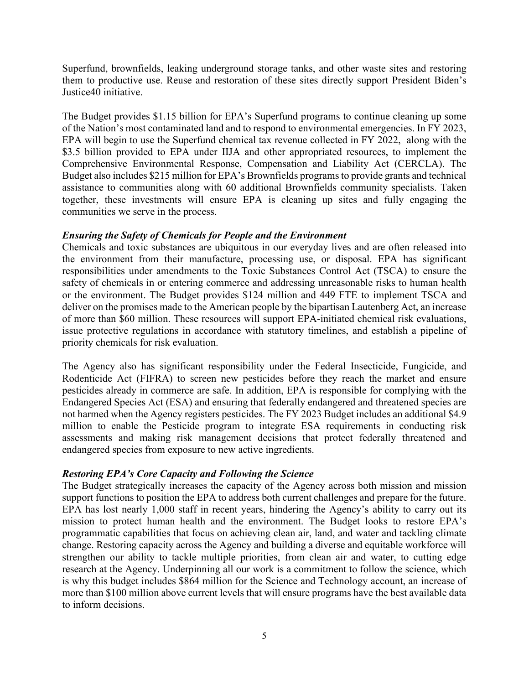Superfund, brownfields, leaking underground storage tanks, and other waste sites and restoring them to productive use. Reuse and restoration of these sites directly support President Biden's Justice40 initiative.

The Budget provides \$1.15 billion for EPA's Superfund programs to continue cleaning up some of the Nation's most contaminated land and to respond to environmental emergencies. In FY 2023, EPA will begin to use the Superfund chemical tax revenue collected in FY 2022, along with the \$3.5 billion provided to EPA under IIJA and other appropriated resources, to implement the Comprehensive Environmental Response, Compensation and Liability Act (CERCLA). The Budget also includes \$215 million for EPA's Brownfields programs to provide grants and technical assistance to communities along with 60 additional Brownfields community specialists. Taken together, these investments will ensure EPA is cleaning up sites and fully engaging the communities we serve in the process.

# *Ensuring the Safety of Chemicals for People and the Environment*

Chemicals and toxic substances are ubiquitous in our everyday lives and are often released into the environment from their manufacture, processing use, or disposal. EPA has significant responsibilities under amendments to the Toxic Substances Control Act (TSCA) to ensure the safety of chemicals in or entering commerce and addressing unreasonable risks to human health or the environment. The Budget provides \$124 million and 449 FTE to implement TSCA and deliver on the promises made to the American people by the bipartisan Lautenberg Act, an increase of more than \$60 million. These resources will support EPA-initiated chemical risk evaluations, issue protective regulations in accordance with statutory timelines, and establish a pipeline of priority chemicals for risk evaluation.

The Agency also has significant responsibility under the Federal Insecticide, Fungicide, and Rodenticide Act (FIFRA) to screen new pesticides before they reach the market and ensure pesticides already in commerce are safe. In addition, EPA is responsible for complying with the Endangered Species Act (ESA) and ensuring that federally endangered and threatened species are not harmed when the Agency registers pesticides. The FY 2023 Budget includes an additional \$4.9 million to enable the Pesticide program to integrate ESA requirements in conducting risk assessments and making risk management decisions that protect federally threatened and endangered species from exposure to new active ingredients.

# *Restoring EPA's Core Capacity and Following the Science*

The Budget strategically increases the capacity of the Agency across both mission and mission support functions to position the EPA to address both current challenges and prepare for the future. EPA has lost nearly 1,000 staff in recent years, hindering the Agency's ability to carry out its mission to protect human health and the environment. The Budget looks to restore EPA's programmatic capabilities that focus on achieving clean air, land, and water and tackling climate change. Restoring capacity across the Agency and building a diverse and equitable workforce will strengthen our ability to tackle multiple priorities, from clean air and water, to cutting edge research at the Agency. Underpinning all our work is a commitment to follow the science, which is why this budget includes \$864 million for the Science and Technology account, an increase of more than \$100 million above current levels that will ensure programs have the best available data to inform decisions.